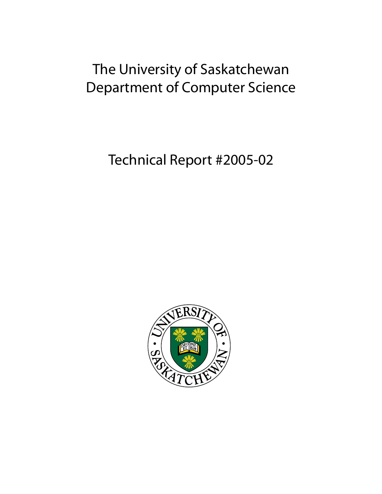# The University of Saskatchewan Department of Computer Science

Technical Report #2005-02

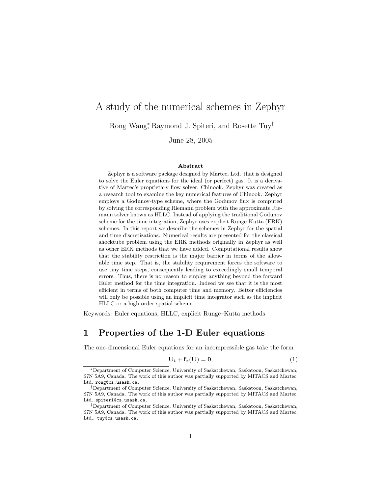# A study of the numerical schemes in Zephyr

Rong Wang<sup>\*</sup>, Raymond J. Spiteri<sup>†</sup>, and Rosette Tuy<sup>‡</sup>

June 28, 2005

#### Abstract

Zephyr is a software package designed by Martec, Ltd. that is designed to solve the Euler equations for the ideal (or perfect) gas. It is a derivative of Martec's proprietary flow solver, Chinook. Zephyr was created as a research tool to examine the key numerical features of Chinook. Zephyr employs a Godunov-type scheme, where the Godunov flux is computed by solving the corresponding Riemann problem with the approximate Riemann solver known as HLLC. Instead of applying the traditional Godunov scheme for the time integration, Zephyr uses explicit Runge-Kutta (ERK) schemes. In this report we describe the schemes in Zephyr for the spatial and time discretizations. Numerical results are presented for the classical shocktube problem using the ERK methods originally in Zephyr as well as other ERK methods that we have added. Computational results show that the stability restriction is the major barrier in terms of the allowable time step. That is, the stability requirement forces the software to use tiny time steps, consequently leading to exceedingly small temporal errors. Thus, there is no reason to employ anything beyond the forward Euler method for the time integration. Indeed we see that it is the most efficient in terms of both computer time and memory. Better efficiencies will only be possible using an implicit time integrator such as the implicit HLLC or a high-order spatial scheme.

Keywords: Euler equations, HLLC, explicit Runge–Kutta methods

#### 1 Properties of the 1-D Euler equations

The one-dimensional Euler equations for an incompressible gas take the form

$$
\mathbf{U}_t + \mathbf{f}_x(\mathbf{U}) = \mathbf{0},\tag{1}
$$

<sup>∗</sup>Department of Computer Science, University of Saskatchewan, Saskatoon, Saskatchewan, S7N 5A9, Canada. The work of this author was partially supported by MITACS and Martec, Ltd. rong@cs.usask.ca.

<sup>†</sup>Department of Computer Science, University of Saskatchewan, Saskatoon, Saskatchewan, S7N 5A9, Canada. The work of this author was partially supported by MITACS and Martec, Ltd. spiteri@cs.usask.ca.

<sup>‡</sup>Department of Computer Science, University of Saskatchewan, Saskatoon, Saskatchewan, S7N 5A9, Canada. The work of this author was partially supported by MITACS and Martec, Ltd.. tuy@cs.usask.ca.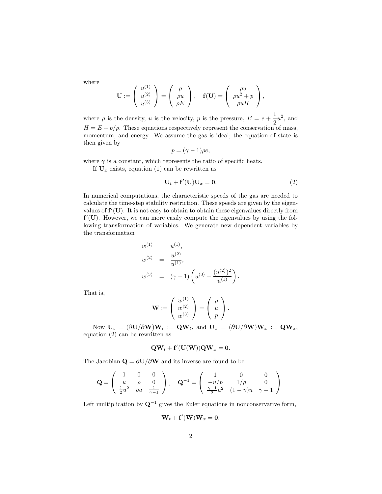where

$$
\mathbf{U} := \left( \begin{array}{c} u^{(1)} \\ u^{(2)} \\ u^{(3)} \end{array} \right) = \left( \begin{array}{c} \rho \\ \rho u \\ \rho E \end{array} \right), \quad \mathbf{f}(\mathbf{U}) = \left( \begin{array}{c} \rho u \\ \rho u^2 + p \\ \rho u H \end{array} \right),
$$

where  $\rho$  is the density, u is the velocity, p is the pressure,  $E = e + \frac{1}{2}$  $rac{1}{2}u^2$ , and  $H = E + p/\rho$ . These equations respectively represent the conservation of mass, momentum, and energy. We assume the gas is ideal; the equation of state is then given by

$$
p = (\gamma - 1)\rho e,
$$

where  $\gamma$  is a constant, which represents the ratio of specific heats.

If  $U_x$  exists, equation (1) can be rewritten as

$$
\mathbf{U}_t + \mathbf{f}'(\mathbf{U})\mathbf{U}_x = \mathbf{0}.\tag{2}
$$

In numerical computations, the characteristic speeds of the gas are needed to calculate the time-step stability restriction. These speeds are given by the eigenvalues of  $f'(U)$ . It is not easy to obtain to obtain these eigenvalues directly from f'(U). However, we can more easily compute the eigenvalues by using the following transformation of variables. We generate new dependent variables by the transformation

$$
w^{(1)} = u^{(1)},
$$
  
\n
$$
w^{(2)} = \frac{u^{(2)}}{u^{(1)}},
$$
  
\n
$$
w^{(3)} = (\gamma - 1) \left( u^{(3)} - \frac{(u^{(2)})^2}{u^{(1)}} \right).
$$

That is,

$$
\mathbf{W} := \left( \begin{array}{c} w^{(1)} \\ w^{(2)} \\ w^{(3)} \end{array} \right) = \left( \begin{array}{c} \rho \\ u \\ p \end{array} \right).
$$

Now  $U_t = (\partial U/\partial W)W_t := \mathbf{Q}W_t$ , and  $U_x = (\partial U/\partial W)W_x := \mathbf{Q}W_x$ , equation (2) can be rewritten as

$$
\mathbf{Q}\mathbf{W}_t + \mathbf{f}'(\mathbf{U}(\mathbf{W}))\mathbf{Q}\mathbf{W}_x = \mathbf{0}.
$$

The Jacobian  $\mathbf{Q} = \partial \mathbf{U}/\partial \mathbf{W}$  and its inverse are found to be

$$
\mathbf{Q} = \begin{pmatrix} 1 & 0 & 0 \\ u & \rho & 0 \\ \frac{1}{2}u^2 & \rho u & \frac{1}{\gamma - 1} \end{pmatrix}, \quad \mathbf{Q}^{-1} = \begin{pmatrix} 1 & 0 & 0 \\ -u/p & 1/\rho & 0 \\ \frac{\gamma - 1}{2}u^2 & (1 - \gamma)u & \gamma - 1 \end{pmatrix}.
$$

Left multiplication by  $\mathbf{Q}^{-1}$  gives the Euler equations in nonconservative form,

$$
\mathbf{W}_t + \tilde{\mathbf{f}}'(\mathbf{W})\mathbf{W}_x = \mathbf{0},
$$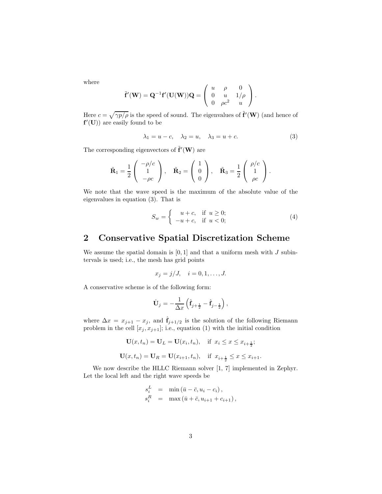where

$$
\tilde{\mathbf{f}}'(\mathbf{W}) = \mathbf{Q}^{-1} \mathbf{f}'(\mathbf{U}(\mathbf{W})) \mathbf{Q} = \begin{pmatrix} u & \rho & 0 \\ 0 & u & 1/\rho \\ 0 & \rho c^2 & u \end{pmatrix}.
$$

Here  $c = \sqrt{\gamma p/\rho}$  is the speed of sound. The eigenvalues of  $\tilde{\mathbf{f}}'(\mathbf{W})$  (and hence of  $f'(U)$  are easily found to be

$$
\lambda_1 = u - c, \quad \lambda_2 = u, \quad \lambda_3 = u + c. \tag{3}
$$

The corresponding eigenvectors of  $\tilde{\mathbf{f}}'(\mathbf{W})$  are

$$
\tilde{\mathbf{R}}_1 = \frac{1}{2} \begin{pmatrix} -\rho/c \\ 1 \\ -\rho c \end{pmatrix}, \quad \tilde{\mathbf{R}}_2 = \begin{pmatrix} 1 \\ 0 \\ 0 \end{pmatrix}, \quad \tilde{\mathbf{R}}_3 = \frac{1}{2} \begin{pmatrix} \rho/c \\ 1 \\ \rho c \end{pmatrix}.
$$

We note that the wave speed is the maximum of the absolute value of the eigenvalues in equation (3). That is

$$
S_w = \begin{cases} u+c, & \text{if } u \ge 0; \\ -u+c, & \text{if } u < 0; \end{cases}
$$
 (4)

#### 2 Conservative Spatial Discretization Scheme

We assume the spatial domain is  $[0,1]$  and that a uniform mesh with  $J$  subintervals is used; i.e., the mesh has grid points

$$
x_j = j/J, \quad i = 0, 1, \dots, J.
$$

A conservative scheme is of the following form:

$$
\dot{\mathbf{U}}_j = -\frac{1}{\Delta x} \left( \hat{\mathbf{f}}_{j+\frac{1}{2}} - \hat{\mathbf{f}}_{j-\frac{1}{2}} \right),\,
$$

where  $\Delta x = x_{j+1} - x_j$ , and  $\hat{f}_{j+1/2}$  is the solution of the following Riemann problem in the cell  $[x_j, x_{j+1}]$ ; i.e., equation (1) with the initial condition

$$
\mathbf{U}(x, t_n) = \mathbf{U}_L = \mathbf{U}(x_i, t_n), \quad \text{if } x_i \le x \le x_{i + \frac{1}{2}};
$$
\n
$$
\mathbf{U}(x, t_n) = \mathbf{U}_R = \mathbf{U}(x_{i+1}, t_n), \quad \text{if } x_{i + \frac{1}{2}} \le x \le x_{i+1}.
$$

We now describe the HLLC Riemann solver [1, 7] implemented in Zephyr. Let the local left and the right wave speeds be

$$
s_i^L = \min(\bar{u} - \bar{c}, u_i - c_i),
$$
  
\n
$$
s_i^R = \max(\bar{u} + \bar{c}, u_{i+1} + c_{i+1}),
$$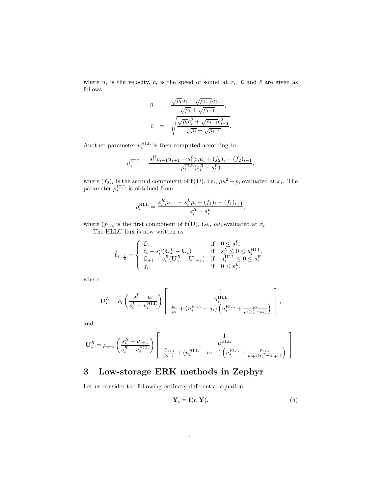where  $u_i$  is the velocity,  $c_i$  is the speed of sound at  $x_i$ ,  $\bar{u}$  and  $\bar{c}$  are given as follows

$$
\bar{u} = \frac{\sqrt{\rho_i}u_i + \sqrt{\rho_{i+1}}u_{i+1}}{\sqrt{\rho_i} + \sqrt{\rho_{i+1}}},
$$
\n
$$
\bar{c} = \sqrt{\frac{\sqrt{\rho_i}c_i^2 + \sqrt{\rho_{i+1}}c_{i+1}^2}{\sqrt{\rho_i} + \sqrt{\rho_{i+1}}}}.
$$

Another parameter  $u_i^{\text{HLL}}$  is then computed according to

$$
u_i^{\text{HLL}} = \frac{s_i^R \rho_{i+1} u_{i+1} - s_i^L \rho_i u_i + (f_2)_i - (f_2)_{i+1}}{\rho_i^{\text{HLL}} (s_i^R - s_i^L)},
$$

where  $(f_2)_i$  is the second component of  $f(U)$ , i.e.,  $\rho u^2 + p$ , evaluated at  $x_i$ . The parameter  $\rho_i^{\text{HLL}}$  is obtained from

$$
\rho_i^{\text{HLL}} = \frac{s_i^R \rho_{i+1} - s_i^L \rho_i + (f_1)_i - (f_1)_{i+1}}{s_i^R - s_i^L},
$$

where  $(f_1)_i$  is the first component of  $f(U)$ , i.e.,  $\rho u$ , evaluated at  $x_i$ .

The HLLC flux is now written as

$$
\hat{\mathbf{f}}_{j+\frac{1}{2}} = \begin{cases}\n\mathbf{f}_i, & \text{if } 0 \le s_i^L, \\
\mathbf{f}_i + s_i^L (\mathbf{U}_\star^L - \mathbf{U}_i) & \text{if } s_i^L \le 0 \le u_i^{\text{HLL}}, \\
\mathbf{f}_{i+1} + s_i^R (\mathbf{U}_\star^R - \mathbf{U}_{i+1}) & \text{if } u_i^{\text{HLL}} \le 0 \le s_i^R, \\
f_i, & \text{if } 0 \le s_i^L,\n\end{cases}
$$

where

$$
\mathbf{U}_{\star}^{L} = \rho_i \left( \frac{s_i^L - u_i}{s_i^L - u_i^{\mathrm{HLL}}} \right) \left[ \begin{array}{c} 1 \\ u_i^{\mathrm{HLL}} \\ \frac{E_i}{\rho_i} + \left( u_i^{\mathrm{HLL}} - u_i \right) \left( u_i^{\mathrm{HLL}} + \frac{p_i}{\rho_i (s_i^L - u_i)} \right) \end{array} \right],
$$

and

$$
\mathbf{U}_{\star}^{R} = \rho_{i+1} \left( \frac{s_i^R - u_{i+1}}{s_i^R - u_i^{\mathrm{HLL}}} \right) \left[ \begin{array}{c} 1 \\ u_i^{\mathrm{HLL}} \\ \frac{E_{i+1}}{\rho_{i+1}} + (u_i^{\mathrm{HLL}} - u_{i+1}) \left( u_i^{\mathrm{HLL}} + \frac{p_{i+1}}{\rho_{i+1}(s_i^R - u_{i+1})} \right) \end{array} \right].
$$

# 3 Low-storage ERK methods in Zephyr

Let us consider the following ordinary differential equation:

$$
\mathbf{Y}_t = \mathbf{f}(t, \mathbf{Y}).\tag{5}
$$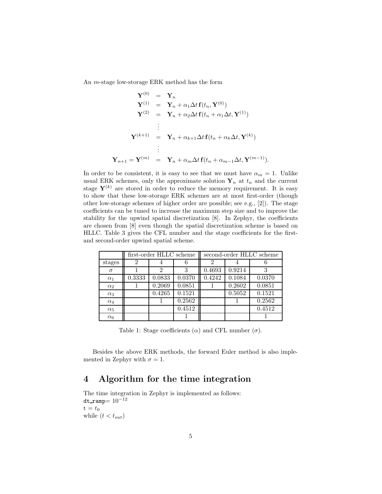An m-stage low-storage ERK method has the form

$$
\mathbf{Y}^{(0)} = \mathbf{Y}_n
$$
\n
$$
\mathbf{Y}^{(1)} = \mathbf{Y}_n + \alpha_1 \Delta t \mathbf{f}(t_n, \mathbf{Y}^{(0)})
$$
\n
$$
\mathbf{Y}^{(2)} = \mathbf{Y}_n + \alpha_2 \Delta t \mathbf{f}(t_n + \alpha_1 \Delta t, \mathbf{Y}^{(1)})
$$
\n
$$
\vdots
$$
\n
$$
\mathbf{Y}^{(k+1)} = \mathbf{Y}_n + \alpha_{k+1} \Delta t \mathbf{f}(t_n + \alpha_k \Delta t, \mathbf{Y}^{(k)})
$$
\n
$$
\vdots
$$
\n
$$
\mathbf{Y}_{n+1} = \mathbf{Y}^{(m)} = \mathbf{Y}_n + \alpha_m \Delta t \mathbf{f}(t_n + \alpha_{m-1} \Delta t, \mathbf{Y}^{(m-1)}).
$$

In order to be consistent, it is easy to see that we must have  $\alpha_m = 1$ . Unlike usual ERK schemes, only the approximate solution  $Y_n$  at  $t_n$  and the current stage  $Y^{(k)}$  are stored in order to reduce the memory requirement. It is easy to show that these low-storage ERK schemes are at most first-order (though other low-storage schemes of higher order are possible; see e.g., [2]). The stage coefficients can be tuned to increase the maximum step size and to improve the stability for the upwind spatial discretization [8]. In Zephyr, the coefficients are chosen from [8] even though the spatial discretization scheme is based on HLLC. Table 3 gives the CFL number and the stage coefficients for the firstand second-order upwind spatial scheme.

|            | first-order HLLC scheme |        | second-order HLLC scheme |        |        |        |
|------------|-------------------------|--------|--------------------------|--------|--------|--------|
| stages     | 2                       |        |                          | 2      |        |        |
| $\sigma$   |                         | 2      | 3                        | 0.4693 | 0.9214 | 3      |
| $\alpha_1$ | $\overline{0.3}333$     | 0.0833 | 0.0370                   | 0.4242 | 0.1084 | 0.0370 |
| $\alpha_2$ |                         | 0.2069 | 0.0851                   |        | 0.2602 | 0.0851 |
| $\alpha_3$ |                         | 0.4265 | 0.1521                   |        | 0.5052 | 0.1521 |
| $\alpha_4$ |                         |        | 0.2562                   |        |        | 0.2562 |
| $\alpha_5$ |                         |        | 0.4512                   |        |        | 0.4512 |
| $\alpha_6$ |                         |        |                          |        |        |        |

Table 1: Stage coefficients ( $\alpha$ ) and CFL number ( $\sigma$ ).

Besides the above ERK methods, the forward Euler method is also implemented in Zephyr with  $\sigma = 1$ .

## 4 Algorithm for the time integration

The time integration in Zephyr is implemented as follows: dt\_ramp=  $10^{-12}$  $t = t_0$ while  $(t < t_{out})$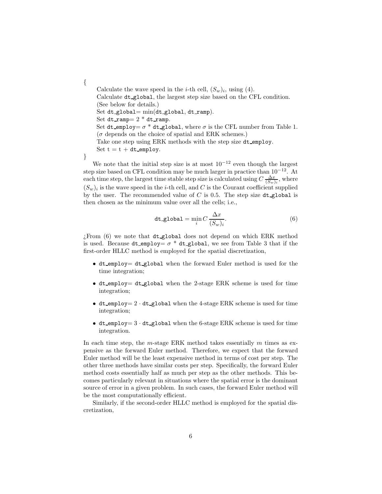Calculate the wave speed in the *i*-th cell,  $(S_w)_i$ , using (4). Calculate dt global, the largest step size based on the CFL condition. (See below for details.) Set dt global=  $min(dt$  global, dt ramp). Set dt\_ramp=  $2 * d$ t\_ramp. Set dt\_employ=  $\sigma^*$  dt\_global, where  $\sigma$  is the CFL number from Table 1.  $(\sigma$  depends on the choice of spatial and ERK schemes.) Take one step using ERK methods with the step size dt\_employ. Set  $t = t + dt$  employ. }

We note that the initial step size is at most  $10^{-12}$  even though the largest step size based on CFL condition may be much larger in practice than  $10^{-12}$ . At each time step, the largest time stable step size is calculated using  $C \frac{\Delta x}{(S_w)_i}$ , where  $(S_w)_i$  is the wave speed in the *i*-th cell, and C is the Courant coefficient supplied by the user. The recommended value of  $C$  is 0.5. The step size dt global is then chosen as the minimum value over all the cells; i.e.,

$$
dt\_global = \min_{i} C \frac{\Delta x}{(S_w)_i}.
$$
 (6)

¿From (6) we note that dt global does not depend on which ERK method is used. Because dt\_employ=  $\sigma$  \* dt\_global, we see from Table 3 that if the first-order HLLC method is employed for the spatial discretization,

- dt employ= dt global when the forward Euler method is used for the time integration;
- dt\_employ= dt\_global when the 2-stage ERK scheme is used for time integration;
- dt employ =  $2 \cdot$  dt global when the 4-stage ERK scheme is used for time integration;
- dt\_employ =  $3 \cdot$  dt\_global when the 6-stage ERK scheme is used for time integration.

In each time step, the m-stage ERK method takes essentially  $m$  times as expensive as the forward Euler method. Therefore, we expect that the forward Euler method will be the least expensive method in terms of cost per step. The other three methods have similar costs per step. Specifically, the forward Euler method costs essentially half as much per step as the other methods. This becomes particularly relevant in situations where the spatial error is the dominant source of error in a given problem. In such cases, the forward Euler method will be the most computationally efficient.

Similarly, if the second-order HLLC method is employed for the spatial discretization,

{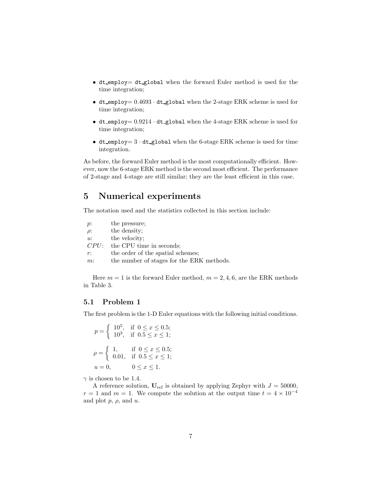- dt employ= dt global when the forward Euler method is used for the time integration;
- dt employ =  $0.4693 \cdot$  dt global when the 2-stage ERK scheme is used for time integration;
- dt employ =  $0.9214 \cdot$  dt global when the 4-stage ERK scheme is used for time integration;
- dt employ =  $3 \cdot$  dt global when the 6-stage ERK scheme is used for time integration.

As before, the forward Euler method is the most computationally efficient. However, now the 6-stage ERK method is the second most efficient. The performance of 2-stage and 4-stage are still similar; they are the least efficient in this case.

### 5 Numerical experiments

The notation used and the statistics collected in this section include:

| $p$ :    | the pressure;                             |
|----------|-------------------------------------------|
| $\rho$ : | the density;                              |
| u:       | the velocity:                             |
| CPU:     | the CPU time in seconds:                  |
| $r$ :    | the order of the spatial schemes:         |
| $m$ :    | the number of stages for the ERK methods. |

Here  $m = 1$  is the forward Euler method,  $m = 2, 4, 6$ , are the ERK methods in Table 3.

#### 5.1 Problem 1

The first problem is the 1-D Euler equations with the following initial conditions.

$$
p = \begin{cases} 10^5, & \text{if } 0 \le x \le 0.5; \\ 10^3, & \text{if } 0.5 \le x \le 1; \end{cases}
$$
  

$$
\rho = \begin{cases} 1, & \text{if } 0 \le x \le 0.5; \\ 0.01, & \text{if } 0.5 \le x \le 1; \end{cases}
$$
  

$$
u = 0, \qquad 0 \le x \le 1.
$$

 $\gamma$  is chosen to be 1.4.

A reference solution,  $U_{ref}$  is obtained by applying Zephyr with  $J = 50000$ ,  $r = 1$  and  $m = 1$ . We compute the solution at the output time  $t = 4 \times 10^{-4}$ and plot  $p, \rho$ , and  $u$ .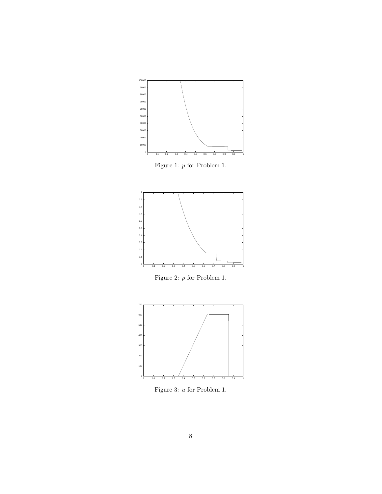

Figure 1:  $p$  for Problem 1.  $\;$ 



Figure 2:  $\rho$  for Problem 1.



Figure 3: u for Problem 1.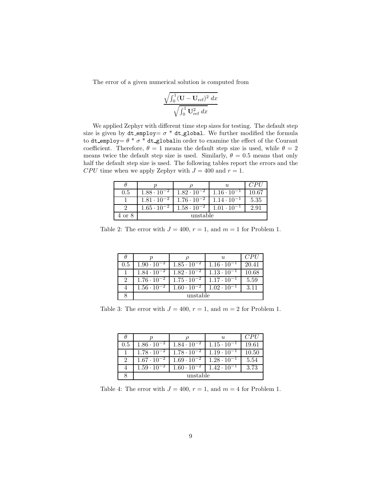The error of a given numerical solution is computed from

$$
\frac{\sqrt{\int_0^1 (\mathbf{U} - \mathbf{U}_{\text{ref}})^2} dx}{\sqrt{\int_0^1 \mathbf{U}_{\text{ref}}^2 dx}}
$$

We applied Zephyr with different time step sizes for testing. The default step size is given by dt\_employ=  $\sigma$  \* dt\_global. We further modified the formula to dt employ=  $\theta * \sigma *$  dt globalin order to examine the effect of the Courant coefficient. Therefore,  $\theta = 1$  means the default step size is used, while  $\theta = 2$ means twice the default step size is used. Similarly,  $\theta = 0.5$  means that only half the default step size is used. The following tables report the errors and the CPU time when we apply Zephyr with  $J = 400$  and  $r = 1$ .

|        |                      |                      |                      | C PL  |  |
|--------|----------------------|----------------------|----------------------|-------|--|
| 0.5    | $1.88 \cdot 10^{-2}$ | $1.82 \cdot 10^{-2}$ | $1.16 \cdot 10^{-1}$ | 10.67 |  |
|        | $1.81 \cdot 10^{-2}$ | $1.76 \cdot 10^{-2}$ | $1.14 \cdot 10^{-1}$ | 5.35  |  |
|        | $1.65 \cdot 10^{-2}$ | $1.58 \cdot 10^{-2}$ | $1.01 \cdot 10^{-1}$ | 2.91  |  |
| 4 or 8 |                      | unstable             |                      |       |  |

Table 2: The error with  $J = 400$ ,  $r = 1$ , and  $m = 1$  for Problem 1.

|     |                      |                      | $\mathfrak{u}$       | CPI/  |
|-----|----------------------|----------------------|----------------------|-------|
| 0.5 | $1.90 \cdot 10^{-2}$ | $1.85 \cdot 10^{-2}$ | $1.16 \cdot 10^{-1}$ | 20.41 |
|     | $1.84 \cdot 10^{-2}$ | $1.82 \cdot 10^{-2}$ | $1.13 \cdot 10^{-1}$ | 10.68 |
| 2   | $1.76 \cdot 10^{-2}$ | $1.75 \cdot 10^{-2}$ | $1.17 \cdot 10^{-1}$ | 5.59  |
|     | $1.56 \cdot 10^{-2}$ | $1.60 \cdot 10^{-2}$ | $1.02 \cdot 10^{-1}$ | 3.11  |
|     | unstable             |                      |                      |       |

Table 3: The error with  $J = 400$ ,  $r = 1$ , and  $m = 2$  for Problem 1.

|     |                      |                      | $\mathfrak{u}$       | CPII  |
|-----|----------------------|----------------------|----------------------|-------|
| 0.5 | $1.86 \cdot 10^{-2}$ | $1.84 \cdot 10^{-2}$ | $1.15 \cdot 10^{-1}$ | 19.61 |
|     | $1.78 \cdot 10^{-2}$ | $1.78 \cdot 10^{-2}$ | $1.19 \cdot 10^{-1}$ | 10.50 |
| 9   | $1.67 \cdot 10^{-2}$ | $1.69 \cdot 10^{-2}$ | $1.28 \cdot 10^{-1}$ | 5.54  |
|     | $1.59 \cdot 10^{-2}$ | $1.60 \cdot 10^{-2}$ | $1.42 \cdot 10^{-1}$ | 3.73  |
|     | unstable             |                      |                      |       |

Table 4: The error with  $J = 400$ ,  $r = 1$ , and  $m = 4$  for Problem 1.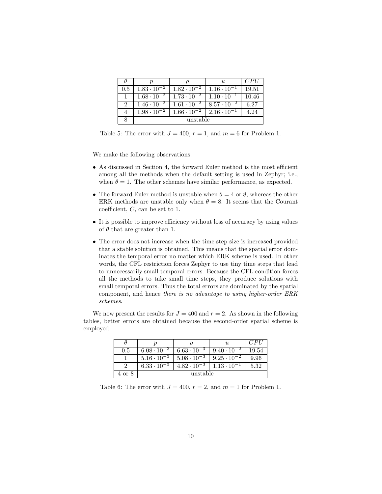|                             |                                 |                      | $\mathfrak{u}$       | C PU  |
|-----------------------------|---------------------------------|----------------------|----------------------|-------|
| 0.5                         | $1.83 \cdot 10^{-2}$            | $1.82 \cdot 10^{-2}$ | $1.16 \cdot 10^{-1}$ | 19.51 |
|                             | $1.68 \cdot \overline{10^{-2}}$ | $1.73 \cdot 10^{-2}$ | $1.10 \cdot 10^{-1}$ | 10.46 |
| $\mathcal{D}_{\mathcal{L}}$ | $1.46 \cdot 10^{-2}$            | $1.61 \cdot 10^{-2}$ | $8.57 \cdot 10^{-2}$ | 6.27  |
|                             | $1.98 \cdot 10^{-2}$            | $1.66 \cdot 10^{-2}$ | $2.16 \cdot 10^{-1}$ | 4.24  |
|                             |                                 | unstable             |                      |       |

Table 5: The error with  $J = 400$ ,  $r = 1$ , and  $m = 6$  for Problem 1.

We make the following observations.

- As discussed in Section 4, the forward Euler method is the most efficient among all the methods when the default setting is used in Zephyr; i.e., when  $\theta = 1$ . The other schemes have similar performance, as expected.
- The forward Euler method is unstable when  $\theta = 4$  or 8, whereas the other ERK methods are unstable only when  $\theta = 8$ . It seems that the Courant coefficient, C, can be set to 1.
- It is possible to improve efficiency without loss of accuracy by using values of  $\theta$  that are greater than 1.
- The error does not increase when the time step size is increased provided that a stable solution is obtained. This means that the spatial error dominates the temporal error no matter which ERK scheme is used. In other words, the CFL restriction forces Zephyr to use tiny time steps that lead to unnecessarily small temporal errors. Because the CFL condition forces all the methods to take small time steps, they produce solutions with small temporal errors. Thus the total errors are dominated by the spatial component, and hence there is no advantage to using higher-order ERK schemes.

We now present the results for  $J = 400$  and  $r = 2$ . As shown in the following tables, better errors are obtained because the second-order spatial scheme is employed.

|        |                      |                      |                      | CPII  |
|--------|----------------------|----------------------|----------------------|-------|
| 0.5    | $6.08 \cdot 10^{-3}$ | $6.63 \cdot 10^{-3}$ | $9.40 \cdot 10^{-2}$ | 19.54 |
|        | $5.16 \cdot 10^{-3}$ | $5.08 \cdot 10^{-3}$ | $9.25 \cdot 10^{-2}$ | 9.96  |
|        | $6.33 \cdot 10^{-3}$ | $4.82 \cdot 10^{-3}$ | $1.13 \cdot 10^{-1}$ | 5.32  |
| 4 or 8 |                      | unstable             |                      |       |

Table 6: The error with  $J = 400$ ,  $r = 2$ , and  $m = 1$  for Problem 1.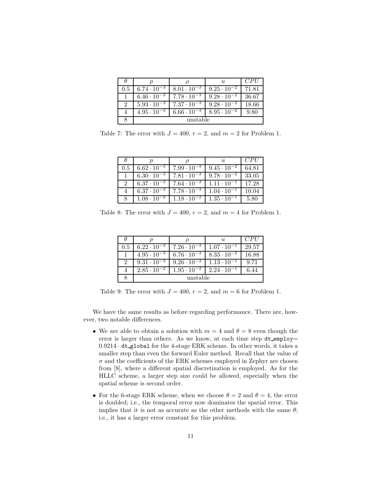|     |                      |                       | $\mathfrak{u}$       | CPII  |
|-----|----------------------|-----------------------|----------------------|-------|
| 0.5 | $6.74 \cdot 10^{-3}$ | $8.01 \cdot 10^{-3}$  | $9.25 \cdot 10^{-2}$ | 71.81 |
|     | $6.46 \cdot 10^{-3}$ | $7.78 \cdot 10^{-3}$  | $9.28 \cdot 10^{-2}$ | 36.67 |
| 9   | $5.93 \cdot 10^{-3}$ | $17.37 \cdot 10^{-3}$ | $9.28 \cdot 10^{-2}$ | 18.66 |
|     | $4.95 \cdot 10^{-3}$ | $6.66 \cdot 10^{-3}$  | $8.95 \cdot 10^{-2}$ | 9.80  |
|     |                      | unstable              |                      |       |

Table 7: The error with  $J = 400$ ,  $r = 2$ , and  $m = 2$  for Problem 1.

|     |                      |                      | $\mathfrak{u}$       | CPII  |
|-----|----------------------|----------------------|----------------------|-------|
| 0.5 | $6.62 \cdot 10^{-3}$ | $7.99 \cdot 10^{-3}$ | $9.45 \cdot 10^{-2}$ | 64.81 |
|     | $6.30 \cdot 10^{-3}$ | $7.81 \cdot 10^{-3}$ | $9.78 \cdot 10^{-2}$ | 33.05 |
|     | $6.37 \cdot 10^{-3}$ | $7.64 \cdot 10^{-3}$ | $1.11 \cdot 10^{-1}$ | 17.28 |
|     | $6.37 \cdot 10^{-3}$ | $7.78 \cdot 10^{-3}$ | $1.04 \cdot 10^{-1}$ | 10.04 |
|     | $1.08 \cdot 10^{-2}$ | $1.18 \cdot 10^{-2}$ | $1.35 \cdot 10^{-1}$ | 5.80  |

Table 8: The error with  $J = 400$ ,  $r = 2$ , and  $m = 4$  for Problem 1.

|               | п                    |                      | $\mathfrak{u}$       | CPI   |
|---------------|----------------------|----------------------|----------------------|-------|
| 0.5           | $6.22 \cdot 10^{-3}$ | $7.26 \cdot 10^{-3}$ | $1.07 \cdot 10^{-1}$ | 29.57 |
|               | $4.95 \cdot 10^{-3}$ | $6.76 \cdot 10^{-3}$ | $8.33 \cdot 10^{-2}$ | 16.88 |
| $\mathcal{D}$ | $9.31 \cdot 10^{-3}$ | $9.26 \cdot 10^{-3}$ | $1.13 \cdot 10^{-1}$ | 9.71  |
|               | $2.85 \cdot 10^{-2}$ | $1.95 \cdot 10^{-2}$ | $2.24 \cdot 10^{-1}$ | 6.44  |
|               | unstable             |                      |                      |       |

Table 9: The error with  $J = 400$ ,  $r = 2$ , and  $m = 6$  for Problem 1.

We have the same results as before regarding performance. There are, however, two notable differences.

- We are able to obtain a solution with  $m = 4$  and  $\theta = 8$  even though the error is larger than others. As we know, at each time step  $dt$ -employ= 0.9214 · dt global for the 4-stage ERK scheme. In other words, it takes a smaller step than even the forward Euler method. Recall that the value of  $\sigma$  and the coefficients of the ERK schemes employed in Zephyr are chosen from [8], where a different spatial discretization is employed. As for the HLLC scheme, a larger step size could be allowed, especially when the spatial scheme is second order.
- For the 6-stage ERK scheme, when we choose  $\theta = 2$  and  $\theta = 4$ , the error is doubled; i.e., the temporal error now dominates the spatial error. This implies that it is not as accurate as the other methods with the same  $\theta$ ; i.e., it has a larger error constant for this problem.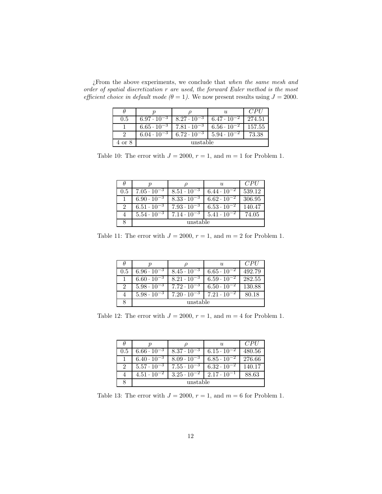¿From the above experiments, we conclude that when the same mesh and order of spatial discretization r are used, the forward Euler method is the most efficient choice in default mode ( $\theta = 1$ ). We now present results using  $J = 2000$ .

|        |                      |                      |                      | CPII   |
|--------|----------------------|----------------------|----------------------|--------|
| 0.5    | $6.97 \cdot 10^{-3}$ | $8.27 \cdot 10^{-3}$ | $6.47 \cdot 10^{-2}$ | 274.51 |
|        | $6.65 \cdot 10^{-3}$ | $7.81 \cdot 10^{-3}$ | $6.56 \cdot 10^{-2}$ | 157.55 |
|        | $6.04 \cdot 10^{-3}$ | $6.72 \cdot 10^{-3}$ | $5.94 \cdot 10^{-2}$ | 73.38  |
| 4 or 8 | unstable             |                      |                      |        |

Table 10: The error with  $J = 2000$ ,  $r = 1$ , and  $m = 1$  for Problem 1.

|               |                      |                      | $\mathfrak{u}$       | CPII   |
|---------------|----------------------|----------------------|----------------------|--------|
| 0.5           | $7.05 \cdot 10^{-3}$ | $8.51 \cdot 10^{-3}$ | $6.44 \cdot 10^{-2}$ | 539.12 |
|               | $6.90 \cdot 10^{-3}$ | $8.33 \cdot 10^{-3}$ | $6.62 \cdot 10^{-2}$ | 306.95 |
| $\mathcal{D}$ | $6.51 \cdot 10^{-3}$ | $7.93 \cdot 10^{-3}$ | $6.53 \cdot 10^{-2}$ | 140.47 |
|               | $5.54 \cdot 10^{-3}$ | $7.14 \cdot 10^{-3}$ | $5.41 \cdot 10^{-2}$ | 74.05  |
|               |                      | unstable             |                      |        |

Table 11: The error with  $J = 2000$ ,  $r = 1$ , and  $m = 2$  for Problem 1.

|               |                      |                      | $\mathcal{U}$        | CPII   |
|---------------|----------------------|----------------------|----------------------|--------|
| 0.5           | $6.96 \cdot 10^{-3}$ | $8.45 \cdot 10^{-3}$ | $6.65 \cdot 10^{-2}$ | 492.79 |
|               | $6.60 \cdot 10^{-3}$ | $8.21 \cdot 10^{-3}$ | $6.59 \cdot 10^{-2}$ | 282.55 |
| $\mathcal{D}$ | $5.98 \cdot 10^{-3}$ | $7.72 \cdot 10^{-3}$ | $6.50 \cdot 10^{-2}$ | 130.88 |
|               | $5.98 \cdot 10^{-3}$ | $7.20 \cdot 10^{-3}$ | $7.21 \cdot 10^{-2}$ | 80.18  |
|               | unstable             |                      |                      |        |

Table 12: The error with  $J = 2000$ ,  $r = 1$ , and  $m = 4$  for Problem 1.

|     |                      |                      | $\mathcal{U}$        | CPII   |
|-----|----------------------|----------------------|----------------------|--------|
| 0.5 | $6.66 \cdot 10^{-3}$ | $8.37 \cdot 10^{-3}$ | $6.15 \cdot 10^{-2}$ | 480.56 |
|     | $6.40 \cdot 10^{-3}$ | $8.09 \cdot 10^{-3}$ | $6.85 \cdot 10^{-2}$ | 276.66 |
| 2   | $5.57 \cdot 10^{-3}$ | $7.55 \cdot 10^{-3}$ | $6.32 \cdot 10^{-2}$ | 140.17 |
|     | $4.51 \cdot 10^{-2}$ | $3.25 \cdot 10^{-2}$ | $2.17 \cdot 10^{-1}$ | 88.63  |
|     | unstable             |                      |                      |        |

Table 13: The error with  $J = 2000$ ,  $r = 1$ , and  $m = 6$  for Problem 1.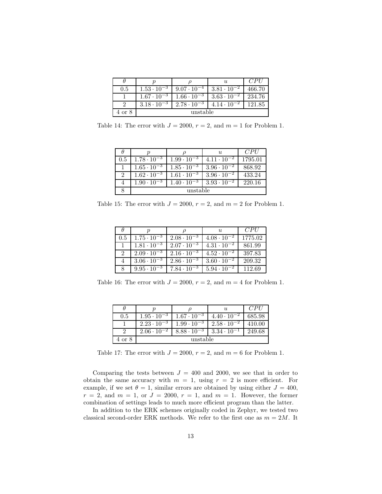|        |                      |                      | U                    | CPI    |
|--------|----------------------|----------------------|----------------------|--------|
| 0.5    | $1.53 \cdot 10^{-3}$ | $9.07 \cdot 10^{-4}$ | $3.81 \cdot 10^{-2}$ | 466.70 |
|        | $1.67 \cdot 10^{-3}$ | $1.66 \cdot 10^{-3}$ | $3.63 \cdot 10^{-2}$ | 234.76 |
|        | $3.18 \cdot 10^{-3}$ | $2.78 \cdot 10^{-3}$ | $4.14 \cdot 10^{-2}$ | 121.85 |
| 4 or 8 | unstable             |                      |                      |        |

Table 14: The error with  $J = 2000$ ,  $r = 2$ , and  $m = 1$  for Problem 1.

|          |                      |                      | $\mathcal{U}$        | CPII    |
|----------|----------------------|----------------------|----------------------|---------|
| 0.5      | $1.78 \cdot 10^{-3}$ | $1.99 \cdot 10^{-3}$ | $4.11 \cdot 10^{-2}$ | 1795.01 |
|          | $1.65 \cdot 10^{-3}$ | $1.85 \cdot 10^{-3}$ | $3.96 \cdot 10^{-2}$ | 868.92  |
| $\Omega$ | $1.62 \cdot 10^{-3}$ | $1.61 \cdot 10^{-3}$ | $3.96 \cdot 10^{-2}$ | 433.24  |
|          | $1.90 \cdot 10^{-3}$ | $1.40 \cdot 10^{-3}$ | $3.93 \cdot 10^{-2}$ | 220.16  |
|          | unstable             |                      |                      |         |

Table 15: The error with  $J = 2000$ ,  $r = 2$ , and  $m = 2$  for Problem 1.

|     |                      |                      | U,                   | CPU     |
|-----|----------------------|----------------------|----------------------|---------|
| 0.5 | $1.75 \cdot 10^{-3}$ | $2.08 \cdot 10^{-3}$ | $4.08 \cdot 10^{-2}$ | 1775.02 |
|     | $1.81 \cdot 10^{-3}$ | $2.07 \cdot 10^{-3}$ | $4.31 \cdot 10^{-2}$ | 861.99  |
|     | $2.09 \cdot 10^{-3}$ | $2.16 \cdot 10^{-3}$ | $4.52 \cdot 10^{-2}$ | 397.83  |
|     | $3.06 \cdot 10^{-3}$ | $2.86 \cdot 10^{-3}$ | $3.60 \cdot 10^{-2}$ | 209.32  |
|     | $9.95 \cdot 10^{-3}$ | $7.84 \cdot 10^{-3}$ | $5.94 \cdot 10^{-2}$ | 112.69  |

Table 16: The error with  $J = 2000$ ,  $r = 2$ , and  $m = 4$  for Problem 1.

|        |                      |                      | $\boldsymbol{\mathit{u}}$ | CPI    |
|--------|----------------------|----------------------|---------------------------|--------|
| 0.5    | $1.95 \cdot 10^{-3}$ | $1.67 \cdot 10^{-3}$ | $4.40 \cdot 10^{-2}$      | 685.98 |
|        | $2.23 \cdot 10^{-3}$ | $1.99 \cdot 10^{-3}$ | $2.58 \cdot 10^{-2}$      | 410.00 |
|        | $2.06 \cdot 10^{-2}$ | $8.88 \cdot 10^{-3}$ | $3.34 \cdot 10^{-1}$      | 249.68 |
| 4 or 8 | unstable             |                      |                           |        |

Table 17: The error with  $J = 2000$ ,  $r = 2$ , and  $m = 6$  for Problem 1.

Comparing the tests between  $J = 400$  and 2000, we see that in order to obtain the same accuracy with  $m = 1$ , using  $r = 2$  is more efficient. For example, if we set  $\theta = 1$ , similar errors are obtained by using either  $J = 400$ ,  $r = 2$ , and  $m = 1$ , or  $J = 2000$ ,  $r = 1$ , and  $m = 1$ . However, the former combination of settings leads to much more efficient program than the latter.

In addition to the ERK schemes originally coded in Zephyr, we tested two classical second-order ERK methods. We refer to the first one as  $m = 2M$ . It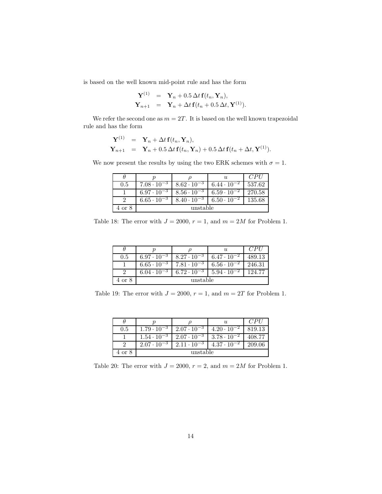is based on the well known mid-point rule and has the form

$$
\mathbf{Y}^{(1)} = \mathbf{Y}_n + 0.5 \Delta t \mathbf{f}(t_n, \mathbf{Y}_n),
$$
  

$$
\mathbf{Y}_{n+1} = \mathbf{Y}_n + \Delta t \mathbf{f}(t_n + 0.5 \Delta t, \mathbf{Y}^{(1)}).
$$

We refer the second one as  $m = 2T$ . It is based on the well known trapezoidal rule and has the form

$$
\mathbf{Y}^{(1)} = \mathbf{Y}_n + \Delta t \mathbf{f}(t_n, \mathbf{Y}_n),
$$
  

$$
\mathbf{Y}_{n+1} = \mathbf{Y}_n + 0.5 \Delta t \mathbf{f}(t_n, \mathbf{Y}_n) + 0.5 \Delta t \mathbf{f}(t_n + \Delta t, \mathbf{Y}^{(1)}).
$$

We now present the results by using the two ERK schemes with  $\sigma = 1$ .

|        |                      |                      | $\mathcal{U}$        | CPII   |
|--------|----------------------|----------------------|----------------------|--------|
| 0.5    | $7.08 \cdot 10^{-3}$ | $8.62 \cdot 10^{-3}$ | $6.44 \cdot 10^{-2}$ | 537.62 |
|        | $6.97 \cdot 10^{-3}$ | $8.56 \cdot 10^{-3}$ | $6.59 \cdot 10^{-2}$ | 270.58 |
|        | $6.65 \cdot 10^{-3}$ | $8.40 \cdot 10^{-3}$ | $6.50 \cdot 10^{-2}$ | 135.68 |
| 4 or 8 | unstable             |                      |                      |        |

Table 18: The error with  $J = 2000$ ,  $r = 1$ , and  $m = 2M$  for Problem 1.

|        |                      |                      | $\boldsymbol{\mathit{u}}$ | CPII   |
|--------|----------------------|----------------------|---------------------------|--------|
| 0.5    | $6.97 \cdot 10^{-3}$ | $8.27 \cdot 10^{-3}$ | $6.47 \cdot 10^{-2}$      | 489.13 |
|        | $6.65 \cdot 10^{-3}$ | $7.81 \cdot 10^{-3}$ | $6.56 \cdot 10^{-2}$      | 246.31 |
|        | $6.04 \cdot 10^{-3}$ | $6.72 \cdot 10^{-3}$ | $1.5.94 \cdot 10^{-2}$    | 124.77 |
| 4 or 8 | unstable             |                      |                           |        |

Table 19: The error with  $J = 2000$ ,  $r = 1$ , and  $m = 2T$  for Problem 1.

|        |                      |                      | $\mathcal{U}$        | CPI    |
|--------|----------------------|----------------------|----------------------|--------|
| 0.5    | $1.79 \cdot 10^{-3}$ | $2.07 \cdot 10^{-3}$ | $4.20 \cdot 10^{-2}$ | 819.13 |
|        | $1.54 \cdot 10^{-3}$ | $2.07 \cdot 10^{-3}$ | $3.78 \cdot 10^{-2}$ | 408.77 |
|        | $2.07 \cdot 10^{-3}$ | $2.11 \cdot 10^{-3}$ | $4.37 \cdot 10^{-2}$ | 209.06 |
| 4 or 8 | unstable             |                      |                      |        |

Table 20: The error with  $J = 2000$ ,  $r = 2$ , and  $m = 2M$  for Problem 1.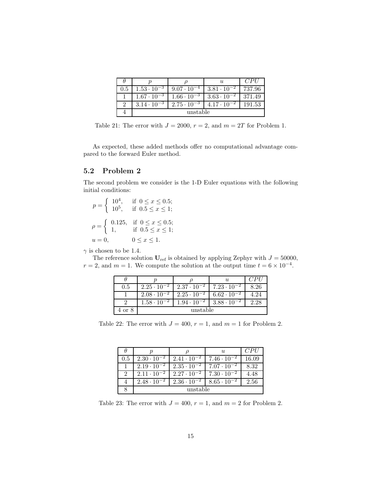|     |                                             |                                                                    | U                     | CPII   |
|-----|---------------------------------------------|--------------------------------------------------------------------|-----------------------|--------|
| 0.5 | $1.53 \cdot 10^{-3}$   $9.07 \cdot 10^{-4}$ |                                                                    | $3.81 \cdot 10^{-2}$  | 737.96 |
|     | $1.67 \cdot 10^{-3}$   $1.66 \cdot 10^{-3}$ |                                                                    | $1.363 \cdot 10^{-2}$ | 371.49 |
|     |                                             | $3.14 \cdot 10^{-3}$   $2.75 \cdot 10^{-3}$   $4.17 \cdot 10^{-2}$ |                       | 191.53 |
|     | unstable                                    |                                                                    |                       |        |

Table 21: The error with  $J = 2000$ ,  $r = 2$ , and  $m = 2T$  for Problem 1.

As expected, these added methods offer no computational advantage compared to the forward Euler method.

#### 5.2 Problem 2

The second problem we consider is the 1-D Euler equations with the following initial conditions:

 $p = \begin{cases} 10^4, & \text{if } 0 \leq x \leq 0.5; \\ 10^5, & \text{if } 0 \leq x \leq 1. \end{cases}$ 10<sup>5</sup>, if  $0.5 \le x \le 1$ ;  $\rho = \begin{cases} 0.125, & \text{if } 0 \leq x \leq 0.5; \\ 1 & \text{if } 0 \leq x \leq 1. \end{cases}$ 1, if  $0.5 \le x \le 1$ ;  $u = 0,$   $0 \le x \le 1.$ 

 $\gamma$  is chosen to be 1.4.

The reference solution  $U_{ref}$  is obtained by applying Zephyr with  $J = 50000$ ,  $r = 2$ , and  $m = 1$ . We compute the solution at the output time  $t = 6 \times 10^{-4}$ .

|                           |                          |                      | $\boldsymbol{u}$                |      |
|---------------------------|--------------------------|----------------------|---------------------------------|------|
| 0.5                       | $2.25 \cdot 10^{-2}$     | $2.37 \cdot 10^{-2}$ | $7.23 \cdot 10^{-2}$            | 8.26 |
|                           | $2.08 \cdot 10^{-2}$     | $2.25 \cdot 10^{-2}$ | $\overline{6.62 \cdot 10^{-2}}$ | 4.24 |
|                           | $1.58\cdot\overline{10}$ | $1.94 \cdot 10^{-2}$ | $3.88 \cdot 10$                 | 2.28 |
| $^{\circ}$ or $8^{\circ}$ | unstable                 |                      |                                 |      |

Table 22: The error with  $J = 400$ ,  $r = 1$ , and  $m = 1$  for Problem 2.

|               |                      |                      | $\mathfrak{u}$       | CPII  |  |
|---------------|----------------------|----------------------|----------------------|-------|--|
| 0.5           | $2.30 \cdot 10^{-2}$ | $2.41 \cdot 10^{-2}$ | $7.46 \cdot 10^{-2}$ | 16.09 |  |
|               | $2.19 \cdot 10^{-2}$ | $2.35 \cdot 10^{-2}$ | $7.07 \cdot 10^{-2}$ | 8.32  |  |
| $\mathcal{D}$ | $2.11 \cdot 10^{-2}$ | $2.27 \cdot 10^{-2}$ | $7.30 \cdot 10^{-2}$ | 4.48  |  |
|               | $2.48 \cdot 10^{-2}$ | $2.36 \cdot 10^{-2}$ | $8.65 \cdot 10^{-2}$ | 2.56  |  |
|               | unstable             |                      |                      |       |  |

Table 23: The error with  $J = 400$ ,  $r = 1$ , and  $m = 2$  for Problem 2.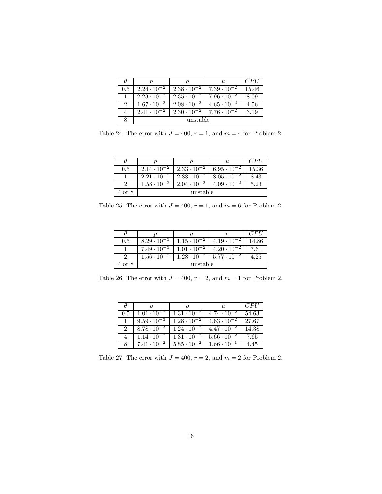|               |                      |                                 | $\mathfrak{u}$                              | CPI   |
|---------------|----------------------|---------------------------------|---------------------------------------------|-------|
| 0.5           | $2.24 \cdot 10^{-2}$ | $2.38 \cdot 10^{-2}$            | $7.39 \cdot 10^{-2}$                        | 15.46 |
|               | $2.23 \cdot 10^{-2}$ | $2.35 \cdot 10^{-2}$            | $7.96 \cdot 10^{-2}$                        | 8.09  |
| $\mathcal{P}$ | $1.67 \cdot 10^{-2}$ | $2.08 \cdot \overline{10^{-2}}$ | $4.65 \cdot 10^{-2}$                        | 4.56  |
|               | $2.41 \cdot 10^{-2}$ |                                 | $2.30 \cdot 10^{-2}$   $7.76 \cdot 10^{-2}$ | 3.19  |
|               | unstable             |                                 |                                             |       |

Table 24: The error with  $J = 400$ ,  $r = 1$ , and  $m = 4$  for Problem 2.

|                  |                      |                      | $\mathfrak{u}$       | CPI   |
|------------------|----------------------|----------------------|----------------------|-------|
| 0.5              | $2.14 \cdot 10^{-2}$ | $2.33 \cdot 10^{-2}$ | $6.95 \cdot 10^{-2}$ | 15.36 |
|                  | $2.21 \cdot 10^{-2}$ | $2.33 \cdot 10^{-2}$ | $8.05 \cdot 10^{-2}$ | 8.43  |
|                  | $1.58 \cdot 10^{-2}$ | $2.04 \cdot 10^{-7}$ | $4.09 \cdot 10^{-7}$ | 5.23  |
| $4\ {\rm or}\ 8$ | unstable             |                      |                      |       |

Table 25: The error with  $J = 400$ ,  $r = 1$ , and  $m = 6$  for Problem 2.

|        |                      |                      | $\mathfrak{u}$       | CPII     |
|--------|----------------------|----------------------|----------------------|----------|
| 0.5    | $8.29 \cdot 10^{-3}$ | $1.15 \cdot 10^{-2}$ | $4.19 \cdot 10^{-2}$ | 14.86    |
|        | $7.49 \cdot 10^{-3}$ | $1.01 \cdot 10^{-2}$ | $4.20 \cdot 10^{-2}$ | 7.61     |
|        | $1.56 \cdot 10^{-2}$ | $1.28 \cdot 10^{-2}$ | $5.77 \cdot 10^{-2}$ | $4.25\,$ |
| 4 or 8 | unstable             |                      |                      |          |

Table 26: The error with  $J = 400$ ,  $r = 2$ , and  $m = 1$  for Problem 2.

|     |                      |                      | $\mathfrak{u}$       | CPU <sup></sup> |
|-----|----------------------|----------------------|----------------------|-----------------|
| 0.5 | $1.01 \cdot 10^{-2}$ | $1.31 \cdot 10^{-2}$ | $4.74 \cdot 10^{-2}$ | 54.63           |
|     | $9.59 \cdot 10^{-3}$ | $1.28 \cdot 10^{-2}$ | $4.63 \cdot 10^{-2}$ | 27.67           |
| 2   | $8.78 \cdot 10^{-3}$ | $1.24 \cdot 10^{-2}$ | $4.47 \cdot 10^{-2}$ | 14.38           |
|     | $1.14 \cdot 10^{-2}$ | $1.31 \cdot 10^{-2}$ | $5.66 \cdot 10^{-2}$ | 7.65            |
|     | $7.41 \cdot 10^{-2}$ | $5.85 \cdot 10^{-2}$ | $1.66 \cdot 10^{-1}$ | 4.45            |

Table 27: The error with  $J = 400$ ,  $r = 2$ , and  $m = 2$  for Problem 2.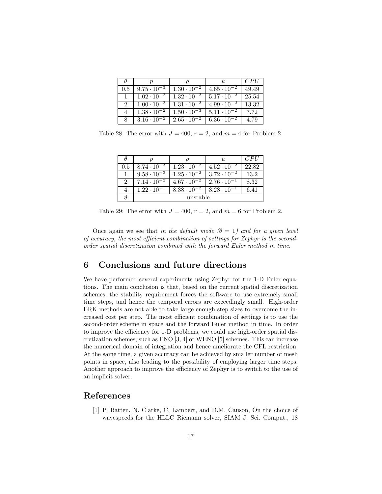|     |                      |                      | $\mathfrak{u}$       | CPII  |
|-----|----------------------|----------------------|----------------------|-------|
| 0.5 | $9.75 \cdot 10^{-3}$ | $1.30 \cdot 10^{-2}$ | $4.65 \cdot 10^{-2}$ | 49.49 |
|     | $1.02 \cdot 10^{-2}$ | $1.32 \cdot 10^{-2}$ | $5.17 \cdot 10^{-2}$ | 25.54 |
| 2   | $1.00 \cdot 10^{-2}$ | $1.31 \cdot 10^{-2}$ | $4.99 \cdot 10^{-2}$ | 13.32 |
|     | $1.38 \cdot 10^{-2}$ | $1.50 \cdot 10^{-3}$ | $5.11 \cdot 10^{-2}$ | 7.72  |
|     | $3.16 \cdot 10^{-2}$ | $2.65 \cdot 10^{-2}$ | $6.36 \cdot 10^{-2}$ | 4.79  |

Table 28: The error with  $J = 400$ ,  $r = 2$ , and  $m = 4$  for Problem 2.

|     |                      |                      | $\mathfrak{u}$       | CPII  |
|-----|----------------------|----------------------|----------------------|-------|
| 0.5 | $8.74 \cdot 10^{-3}$ | $1.23 \cdot 10^{-2}$ | $4.52 \cdot 10^{-2}$ | 22.82 |
|     | $9.58 \cdot 10^{-3}$ | $1.25 \cdot 10^{-2}$ | $3.72 \cdot 10^{-2}$ | 13.2  |
|     | $7.14 \cdot 10^{-2}$ | $4.67 \cdot 10^{-2}$ | $2.76 \cdot 10^{-1}$ | 8.32  |
|     | $1.22 \cdot 10^{-1}$ | $8.38 \cdot 10^{-2}$ | $3.28 \cdot 10^{-1}$ | 6.41  |
|     | unstable             |                      |                      |       |

Table 29: The error with  $J = 400$ ,  $r = 2$ , and  $m = 6$  for Problem 2.

Once again we see that in the default mode  $(\theta = 1)$  and for a given level of accuracy, the most efficient combination of settings for Zephyr is the secondorder spatial discretization combined with the forward Euler method in time.

#### 6 Conclusions and future directions

We have performed several experiments using Zephyr for the 1-D Euler equations. The main conclusion is that, based on the current spatial discretization schemes, the stability requirement forces the software to use extremely small time steps, and hence the temporal errors are exceedingly small. High-order ERK methods are not able to take large enough step sizes to overcome the increased cost per step. The most efficient combination of settings is to use the second-order scheme in space and the forward Euler method in time. In order to improve the efficiency for 1-D problems, we could use high-order spatial discretization schemes, such as ENO [3, 4] or WENO [5] schemes. This can increase the numerical domain of integration and hence ameliorate the CFL restriction. At the same time, a given accuracy can be achieved by smaller number of mesh points in space, also leading to the possibility of employing larger time steps. Another approach to improve the efficiency of Zephyr is to switch to the use of an implicit solver.

#### References

[1] P. Batten, N. Clarke, C. Lambert, and D.M. Causon, On the choice of wavespeeds for the HLLC Riemann solver, SIAM J. Sci. Comput., 18